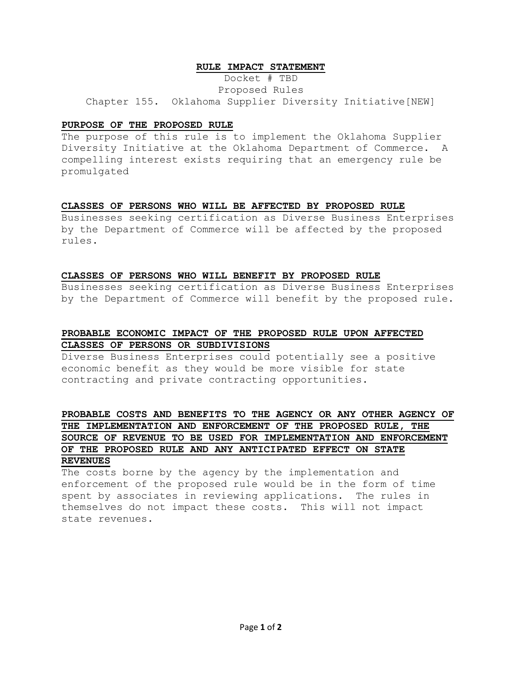### **RULE IMPACT STATEMENT**

Docket # TBD Proposed Rules Chapter 155. Oklahoma Supplier Diversity Initiative[NEW]

### **PURPOSE OF THE PROPOSED RULE**

The purpose of this rule is to implement the Oklahoma Supplier Diversity Initiative at the Oklahoma Department of Commerce. A compelling interest exists requiring that an emergency rule be promulgated

#### **CLASSES OF PERSONS WHO WILL BE AFFECTED BY PROPOSED RULE**

Businesses seeking certification as Diverse Business Enterprises by the Department of Commerce will be affected by the proposed rules.

#### **CLASSES OF PERSONS WHO WILL BENEFIT BY PROPOSED RULE**

Businesses seeking certification as Diverse Business Enterprises by the Department of Commerce will benefit by the proposed rule.

# **PROBABLE ECONOMIC IMPACT OF THE PROPOSED RULE UPON AFFECTED CLASSES OF PERSONS OR SUBDIVISIONS**

Diverse Business Enterprises could potentially see a positive economic benefit as they would be more visible for state contracting and private contracting opportunities.

# **PROBABLE COSTS AND BENEFITS TO THE AGENCY OR ANY OTHER AGENCY OF THE IMPLEMENTATION AND ENFORCEMENT OF THE PROPOSED RULE, THE SOURCE OF REVENUE TO BE USED FOR IMPLEMENTATION AND ENFORCEMENT OF THE PROPOSED RULE AND ANY ANTICIPATED EFFECT ON STATE REVENUES**

The costs borne by the agency by the implementation and enforcement of the proposed rule would be in the form of time spent by associates in reviewing applications. The rules in themselves do not impact these costs. This will not impact state revenues.